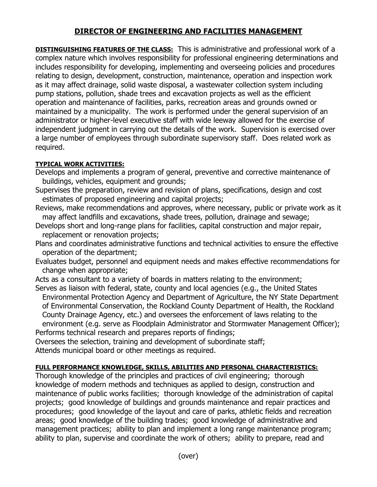## **DIRECTOR OF ENGINEERING AND FACILITIES MANAGEMENT**

**DISTINGUISHING FEATURES OF THE CLASS:** This is administrative and professional work of a complex nature which involves responsibility for professional engineering determinations and includes responsibility for developing, implementing and overseeing policies and procedures relating to design, development, construction, maintenance, operation and inspection work as it may affect drainage, solid waste disposal, a wastewater collection system including pump stations, pollution, shade trees and excavation projects as well as the efficient operation and maintenance of facilities, parks, recreation areas and grounds owned or maintained by a municipality. The work is performed under the general supervision of an administrator or higher-level executive staff with wide leeway allowed for the exercise of independent judgment in carrying out the details of the work. Supervision is exercised over a large number of employees through subordinate supervisory staff. Does related work as required.

## **TYPICAL WORK ACTIVITIES:**

- Develops and implements a program of general, preventive and corrective maintenance of buildings, vehicles, equipment and grounds;
- Supervises the preparation, review and revision of plans, specifications, design and cost estimates of proposed engineering and capital projects;
- Reviews, make recommendations and approves, where necessary, public or private work as it may affect landfills and excavations, shade trees, pollution, drainage and sewage;
- Develops short and long-range plans for facilities, capital construction and major repair, replacement or renovation projects;
- Plans and coordinates administrative functions and technical activities to ensure the effective operation of the department;
- Evaluates budget, personnel and equipment needs and makes effective recommendations for change when appropriate;
- Acts as a consultant to a variety of boards in matters relating to the environment; Serves as liaison with federal, state, county and local agencies (e.g., the United States
	- Environmental Protection Agency and Department of Agriculture, the NY State Department of Environmental Conservation, the Rockland County Department of Health, the Rockland County Drainage Agency, etc.) and oversees the enforcement of laws relating to the environment (e.g. serve as Floodplain Administrator and Stormwater Management Officer);
- Performs technical research and prepares reports of findings;

Oversees the selection, training and development of subordinate staff;

Attends municipal board or other meetings as required.

## **FULL PERFORMANCE KNOWLEDGE, SKILLS, ABILITIES AND PERSONAL CHARACTERISTICS:**

Thorough knowledge of the principles and practices of civil engineering; thorough knowledge of modern methods and techniques as applied to design, construction and maintenance of public works facilities; thorough knowledge of the administration of capital projects; good knowledge of buildings and grounds maintenance and repair practices and procedures; good knowledge of the layout and care of parks, athletic fields and recreation areas; good knowledge of the building trades; good knowledge of administrative and management practices; ability to plan and implement a long range maintenance program; ability to plan, supervise and coordinate the work of others; ability to prepare, read and